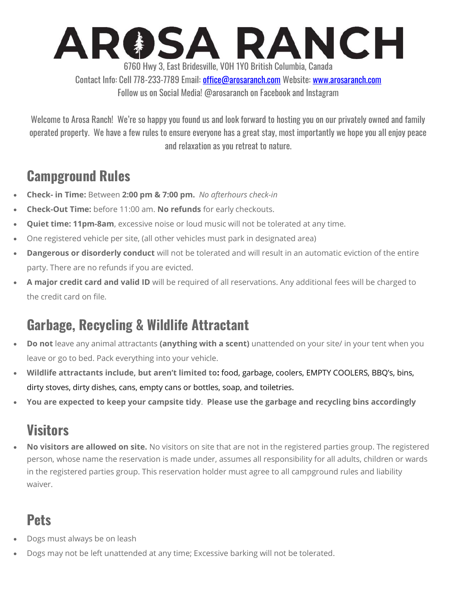# AROSA RANCH 6760 Hwy 3, East Bridesville, V0H 1Y0 British Columbia, Canada

Contact Info: Cell 778-233-7789 Email: office@arosaranch.com Website: www.arosaranch.com Follow us on Social Media! @arosaranch on Facebook and Instagram

Welcome to Arosa Ranch! We're so happy you found us and look forward to hosting you on our privately owned and family operated property. We have a few rules to ensure everyone has a great stay, most importantly we hope you all enjoy peace and relaxation as you retreat to nature.

#### Campground Rules

- Check- in Time: Between 2:00 pm & 7:00 pm. No afterhours check-in
- Check-Out Time: before 11:00 am. No refunds for early checkouts.
- Quiet time: 11pm-8am, excessive noise or loud music will not be tolerated at any time.
- One registered vehicle per site, (all other vehicles must park in designated area)
- Dangerous or disorderly conduct will not be tolerated and will result in an automatic eviction of the entire party. There are no refunds if you are evicted.
- A major credit card and valid ID will be required of all reservations. Any additional fees will be charged to the credit card on file.

# Garbage, Recycling & Wildlife Attractant

- Do not leave any animal attractants (anything with a scent) unattended on your site/ in your tent when you leave or go to bed. Pack everything into your vehicle.
- Wildlife attractants include, but aren't limited to: food, garbage, coolers, EMPTY COOLERS, BBQ's, bins, dirty stoves, dirty dishes, cans, empty cans or bottles, soap, and toiletries.
- You are expected to keep your campsite tidy. Please use the garbage and recycling bins accordingly

#### **Visitors**

No visitors are allowed on site. No visitors on site that are not in the registered parties group. The registered person, whose name the reservation is made under, assumes all responsibility for all adults, children or wards in the registered parties group. This reservation holder must agree to all campground rules and liability waiver.

# **Pets**

- Dogs must always be on leash
- Dogs may not be left unattended at any time; Excessive barking will not be tolerated.